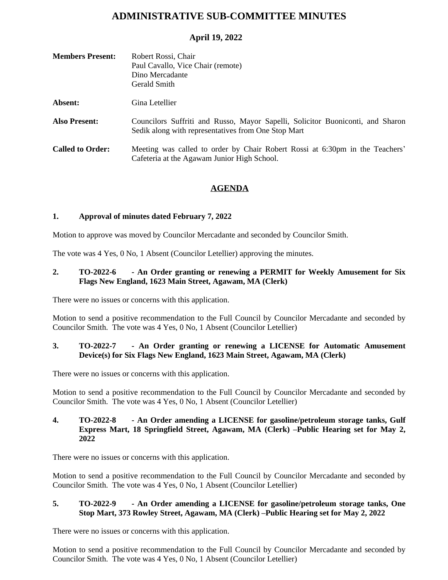# **ADMINISTRATIVE SUB-COMMITTEE MINUTES**

# **April 19, 2022**

| <b>Members Present:</b> | Robert Rossi, Chair<br>Paul Cavallo, Vice Chair (remote)<br>Dino Mercadante<br>Gerald Smith                                           |
|-------------------------|---------------------------------------------------------------------------------------------------------------------------------------|
| Absent:                 | Gina Letellier                                                                                                                        |
| <b>Also Present:</b>    | Councilors Suffriti and Russo, Mayor Sapelli, Solicitor Buoniconti, and Sharon<br>Sedik along with representatives from One Stop Mart |
| <b>Called to Order:</b> | Meeting was called to order by Chair Robert Rossi at 6:30pm in the Teachers'<br>Cafeteria at the Agawam Junior High School.           |

## **AGENDA**

#### **1. Approval of minutes dated February 7, 2022**

Motion to approve was moved by Councilor Mercadante and seconded by Councilor Smith.

The vote was 4 Yes, 0 No, 1 Absent (Councilor Letellier) approving the minutes.

## **2. TO-2022-6 - An Order granting or renewing a PERMIT for Weekly Amusement for Six Flags New England, 1623 Main Street, Agawam, MA (Clerk)**

There were no issues or concerns with this application.

Motion to send a positive recommendation to the Full Council by Councilor Mercadante and seconded by Councilor Smith. The vote was 4 Yes, 0 No, 1 Absent (Councilor Letellier)

## **3. TO-2022-7 - An Order granting or renewing a LICENSE for Automatic Amusement Device(s) for Six Flags New England, 1623 Main Street, Agawam, MA (Clerk)**

There were no issues or concerns with this application.

Motion to send a positive recommendation to the Full Council by Councilor Mercadante and seconded by Councilor Smith. The vote was 4 Yes, 0 No, 1 Absent (Councilor Letellier)

#### **4. TO-2022-8 - An Order amending a LICENSE for gasoline/petroleum storage tanks, Gulf Express Mart, 18 Springfield Street, Agawam, MA (Clerk) –Public Hearing set for May 2, 2022**

There were no issues or concerns with this application.

Motion to send a positive recommendation to the Full Council by Councilor Mercadante and seconded by Councilor Smith. The vote was 4 Yes, 0 No, 1 Absent (Councilor Letellier)

#### **5. TO-2022-9 - An Order amending a LICENSE for gasoline/petroleum storage tanks, One Stop Mart, 373 Rowley Street, Agawam, MA (Clerk) –Public Hearing set for May 2, 2022**

There were no issues or concerns with this application.

Motion to send a positive recommendation to the Full Council by Councilor Mercadante and seconded by Councilor Smith. The vote was 4 Yes, 0 No, 1 Absent (Councilor Letellier)